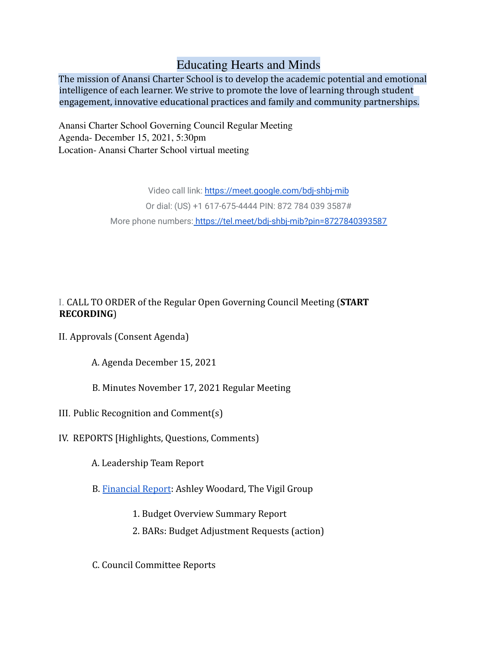## Educating Hearts and Minds

The mission of Anansi Charter School is to develop the academic potential and emotional intelligence of each learner. We strive to promote the love of learning through student engagement, innovative educational practices and family and community partnerships.

Anansi Charter School Governing Council Regular Meeting Agenda- December 15, 2021, 5:30pm Location- Anansi Charter School virtual meeting

> Video call link: <https://meet.google.com/bdj-shbj-mib> Or dial: (US) +1 617-675-4444 PIN: 872 784 039 3587# More phone numbers: <https://tel.meet/bdj-shbj-mib?pin=8727840393587>

## I. CALL TO ORDER of the Regular Open Governing Council Meeting (**START RECORDING**)

- II. Approvals (Consent Agenda)
	- A. Agenda December 15, 2021
	- B. Minutes November 17, 2021 Regular Meeting
- III. Public Recognition and Comment(s)
- IV. REPORTS [Highlights, Questions, Comments)
	- A. Leadership Team Report
	- B. [Financial Report](https://drive.google.com/drive/folders/1yWfM6KNq7Nt2V7DqrfICLP8FdZqCynWb?usp=sharing): Ashley Woodard, The Vigil Group
		- 1. Budget Overview Summary Report
		- 2. BARs: Budget Adjustment Requests (action)
	- C. Council Committee Reports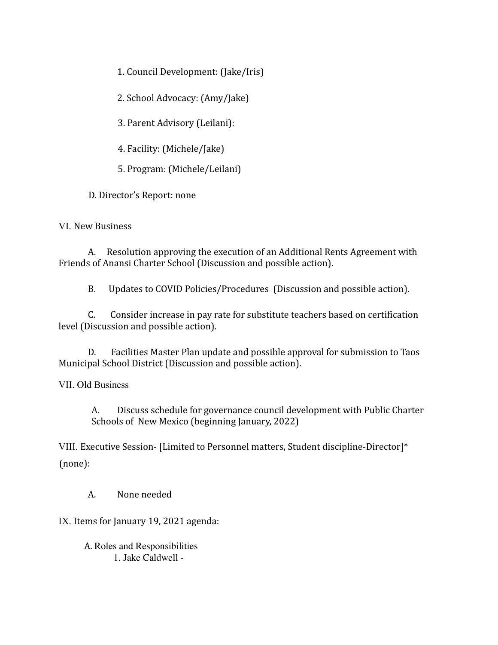1. Council Development: (Jake/Iris)

2. School Advocacy: (Amy/Jake)

3. Parent Advisory (Leilani):

4. Facility: (Michele/Jake)

5. Program: (Michele/Leilani)

D. Director's Report: none

VI. New Business

A. Resolution approving the execution of an Additional Rents Agreement with Friends of Anansi Charter School (Discussion and possible action).

B. Updates to COVID Policies/Procedures (Discussion and possible action).

C. Consider increase in pay rate for substitute teachers based on certification level (Discussion and possible action).

D. Facilities Master Plan update and possible approval for submission to Taos Municipal School District (Discussion and possible action).

VII. Old Business

A. Discuss schedule for governance council development with Public Charter Schools of New Mexico (beginning January, 2022)

VIII. Executive Session- [Limited to Personnel matters, Student discipline-Director]\* (none):

A. None needed

IX. Items for January 19, 2021 agenda:

A. Roles and Responsibilities 1. Jake Caldwell -